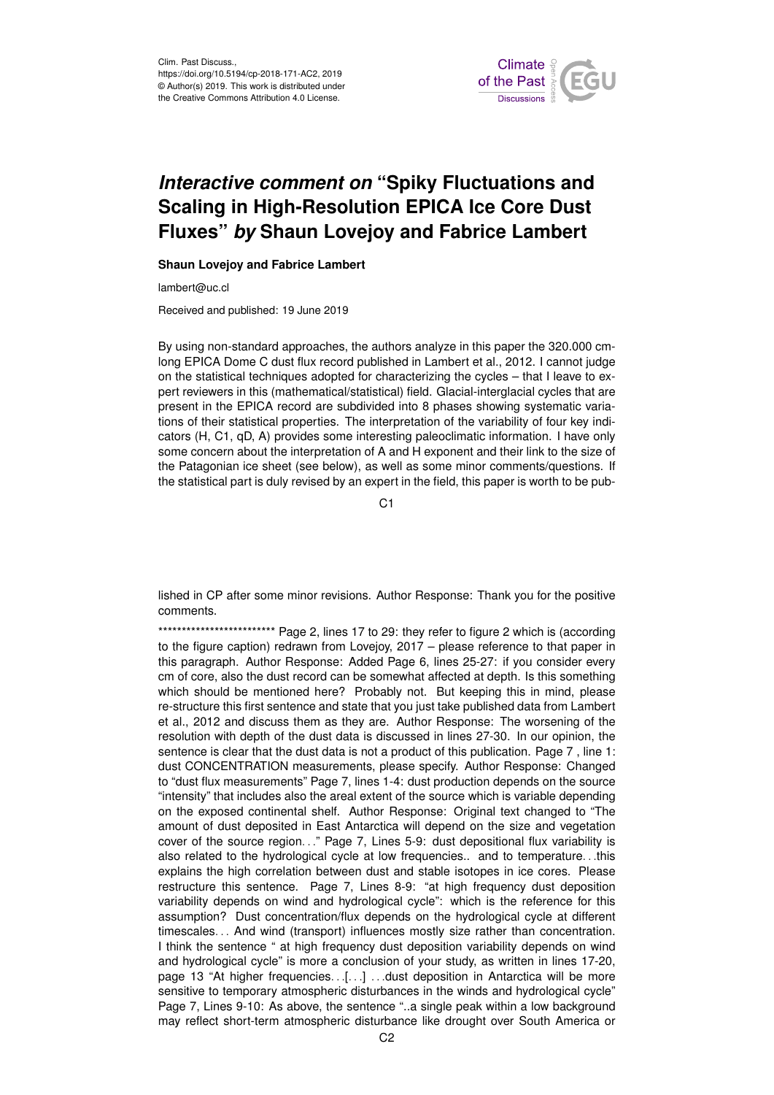

## *Interactive comment on* **"Spiky Fluctuations and Scaling in High-Resolution EPICA Ice Core Dust Fluxes"** *by* **Shaun Lovejoy and Fabrice Lambert**

## **Shaun Lovejoy and Fabrice Lambert**

lambert@uc.cl

Received and published: 19 June 2019

By using non-standard approaches, the authors analyze in this paper the 320.000 cmlong EPICA Dome C dust flux record published in Lambert et al., 2012. I cannot judge on the statistical techniques adopted for characterizing the cycles – that I leave to expert reviewers in this (mathematical/statistical) field. Glacial-interglacial cycles that are present in the EPICA record are subdivided into 8 phases showing systematic variations of their statistical properties. The interpretation of the variability of four key indicators (H, C1, qD, A) provides some interesting paleoclimatic information. I have only some concern about the interpretation of A and H exponent and their link to the size of the Patagonian ice sheet (see below), as well as some minor comments/questions. If the statistical part is duly revised by an expert in the field, this paper is worth to be pub-

C1

lished in CP after some minor revisions. Author Response: Thank you for the positive comments.

\*\*\*\*\*\*\*\*\*\*\*\*\*\*\*\*\*\*\*\*\*\*\*\*\*\*\*\*\*\*\*\*\*\*\* Page 2, lines 17 to 29: they refer to figure 2 which is (according to the figure caption) redrawn from Lovejoy, 2017 – please reference to that paper in this paragraph. Author Response: Added Page 6, lines 25-27: if you consider every cm of core, also the dust record can be somewhat affected at depth. Is this something which should be mentioned here? Probably not. But keeping this in mind, please re-structure this first sentence and state that you just take published data from Lambert et al., 2012 and discuss them as they are. Author Response: The worsening of the resolution with depth of the dust data is discussed in lines 27-30. In our opinion, the sentence is clear that the dust data is not a product of this publication. Page 7 , line 1: dust CONCENTRATION measurements, please specify. Author Response: Changed to "dust flux measurements" Page 7, lines 1-4: dust production depends on the source "intensity" that includes also the areal extent of the source which is variable depending on the exposed continental shelf. Author Response: Original text changed to "The amount of dust deposited in East Antarctica will depend on the size and vegetation cover of the source region. . ." Page 7, Lines 5-9: dust depositional flux variability is also related to the hydrological cycle at low frequencies.. and to temperature. . .this explains the high correlation between dust and stable isotopes in ice cores. Please restructure this sentence. Page 7, Lines 8-9: "at high frequency dust deposition variability depends on wind and hydrological cycle": which is the reference for this assumption? Dust concentration/flux depends on the hydrological cycle at different timescales. . . And wind (transport) influences mostly size rather than concentration. I think the sentence " at high frequency dust deposition variability depends on wind and hydrological cycle" is more a conclusion of your study, as written in lines 17-20, page 13 "At higher frequencies. . .[. . .] . . .dust deposition in Antarctica will be more sensitive to temporary atmospheric disturbances in the winds and hydrological cycle" Page 7, Lines 9-10: As above, the sentence "..a single peak within a low background may reflect short-term atmospheric disturbance like drought over South America or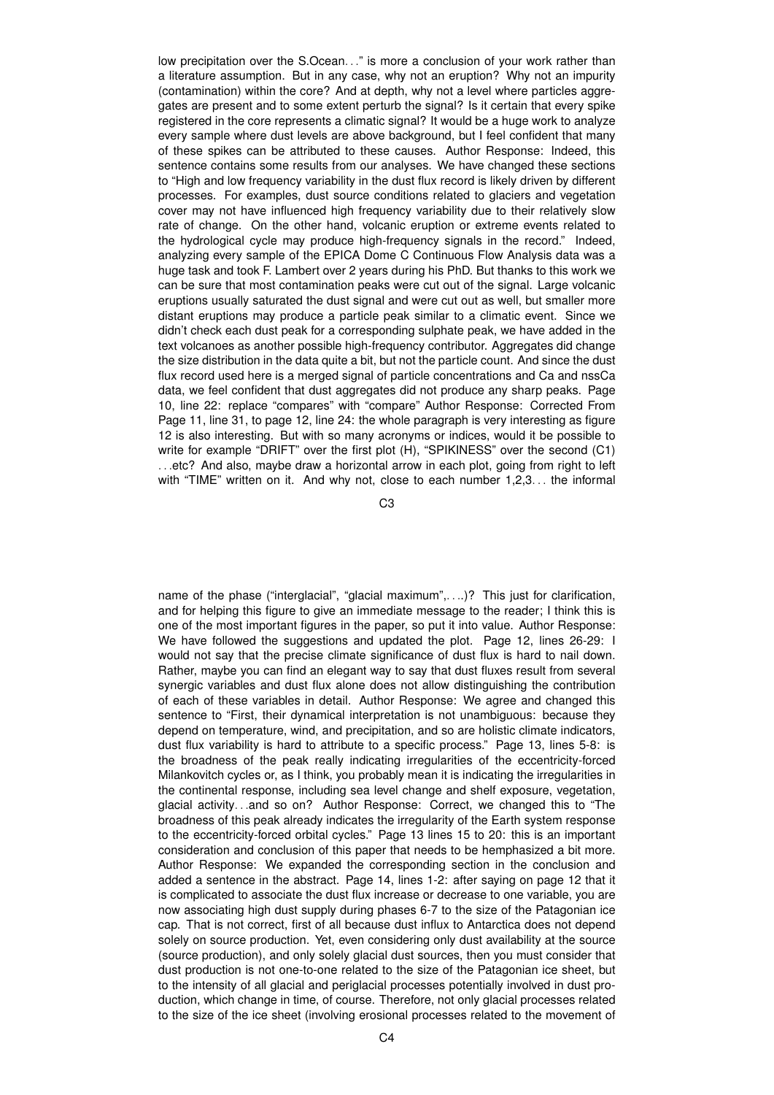low precipitation over the S.Ocean..." is more a conclusion of your work rather than a literature assumption. But in any case, why not an eruption? Why not an impurity (contamination) within the core? And at depth, why not a level where particles aggregates are present and to some extent perturb the signal? Is it certain that every spike registered in the core represents a climatic signal? It would be a huge work to analyze every sample where dust levels are above background, but I feel confident that many of these spikes can be attributed to these causes. Author Response: Indeed, this sentence contains some results from our analyses. We have changed these sections to "High and low frequency variability in the dust flux record is likely driven by different processes. For examples, dust source conditions related to glaciers and vegetation cover may not have influenced high frequency variability due to their relatively slow rate of change. On the other hand, volcanic eruption or extreme events related to the hydrological cycle may produce high-frequency signals in the record." Indeed, analyzing every sample of the EPICA Dome C Continuous Flow Analysis data was a huge task and took F. Lambert over 2 years during his PhD. But thanks to this work we can be sure that most contamination peaks were cut out of the signal. Large volcanic eruptions usually saturated the dust signal and were cut out as well, but smaller more distant eruptions may produce a particle peak similar to a climatic event. Since we didn't check each dust peak for a corresponding sulphate peak, we have added in the text volcanoes as another possible high-frequency contributor. Aggregates did change the size distribution in the data quite a bit, but not the particle count. And since the dust flux record used here is a merged signal of particle concentrations and Ca and nssCa data, we feel confident that dust aggregates did not produce any sharp peaks. Page 10, line 22: replace "compares" with "compare" Author Response: Corrected From Page 11, line 31, to page 12, line 24: the whole paragraph is very interesting as figure 12 is also interesting. But with so many acronyms or indices, would it be possible to write for example "DRIFT" over the first plot (H), "SPIKINESS" over the second (C1) . . .etc? And also, maybe draw a horizontal arrow in each plot, going from right to left with "TIME" written on it. And why not, close to each number 1,2,3... the informal

C3

name of the phase ("interglacial", "glacial maximum",. . ..)? This just for clarification, and for helping this figure to give an immediate message to the reader; I think this is one of the most important figures in the paper, so put it into value. Author Response: We have followed the suggestions and updated the plot. Page 12, lines 26-29: I would not say that the precise climate significance of dust flux is hard to nail down. Rather, maybe you can find an elegant way to say that dust fluxes result from several synergic variables and dust flux alone does not allow distinguishing the contribution of each of these variables in detail. Author Response: We agree and changed this sentence to "First, their dynamical interpretation is not unambiguous: because they depend on temperature, wind, and precipitation, and so are holistic climate indicators, dust flux variability is hard to attribute to a specific process." Page 13, lines 5-8: is the broadness of the peak really indicating irregularities of the eccentricity-forced Milankovitch cycles or, as I think, you probably mean it is indicating the irregularities in the continental response, including sea level change and shelf exposure, vegetation, glacial activity. . .and so on? Author Response: Correct, we changed this to "The broadness of this peak already indicates the irregularity of the Earth system response to the eccentricity-forced orbital cycles." Page 13 lines 15 to 20: this is an important consideration and conclusion of this paper that needs to be hemphasized a bit more. Author Response: We expanded the corresponding section in the conclusion and added a sentence in the abstract. Page 14, lines 1-2: after saying on page 12 that it is complicated to associate the dust flux increase or decrease to one variable, you are now associating high dust supply during phases 6-7 to the size of the Patagonian ice cap. That is not correct, first of all because dust influx to Antarctica does not depend solely on source production. Yet, even considering only dust availability at the source (source production), and only solely glacial dust sources, then you must consider that dust production is not one-to-one related to the size of the Patagonian ice sheet, but to the intensity of all glacial and periglacial processes potentially involved in dust production, which change in time, of course. Therefore, not only glacial processes related to the size of the ice sheet (involving erosional processes related to the movement of